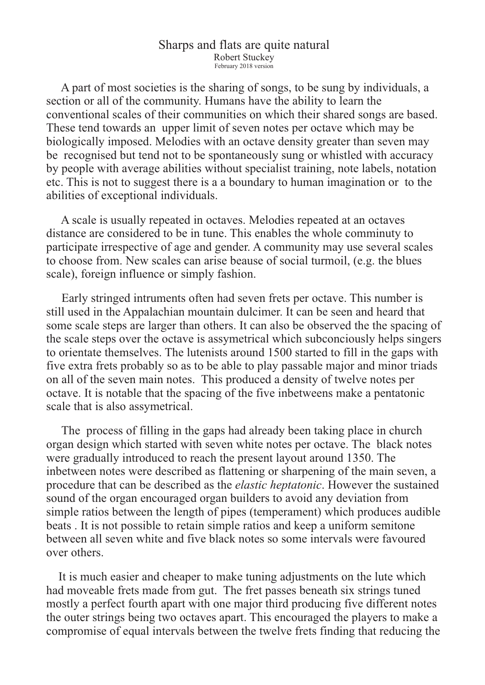## Sharps and flats are quite natural Robert Stuckey February 2018 version

 A part of most societies is the sharing of songs, to be sung by individuals, a section or all of the community. Humans have the ability to learn the conventional scales of their communities on which their shared songs are based. These tend towards an upper limit of seven notes per octave which may be biologically imposed. Melodies with an octave density greater than seven may be recognised but tend not to be spontaneously sung or whistled with accuracy by people with average abilities without specialist training, note labels, notation etc. This is not to suggest there is a a boundary to human imagination or to the abilities of exceptional individuals.

 A scale is usually repeated in octaves. Melodies repeated at an octaves distance are considered to be in tune. This enables the whole comminuty to participate irrespective of age and gender. A community may use several scales to choose from. New scales can arise beause of social turmoil, (e.g. the blues scale), foreign influence or simply fashion.

 Early stringed intruments often had seven frets per octave. This number is still used in the Appalachian mountain dulcimer. It can be seen and heard that some scale steps are larger than others. It can also be observed the the spacing of the scale steps over the octave is assymetrical which subconciously helps singers to orientate themselves. The lutenists around 1500 started to fill in the gaps with five extra frets probably so as to be able to play passable major and minor triads on all of the seven main notes. This produced a density of twelve notes per octave. It is notable that the spacing of the five inbetweens make a pentatonic scale that is also assymetrical.

 The process of filling in the gaps had already been taking place in church organ design which started with seven white notes per octave. The black notes were gradually introduced to reach the present layout around 1350. The inbetween notes were described as flattening or sharpening of the main seven, a procedure that can be described as the *elastic heptatonic*. However the sustained sound of the organ encouraged organ builders to avoid any deviation from simple ratios between the length of pipes (temperament) which produces audible beats . It is not possible to retain simple ratios and keep a uniform semitone between all seven white and five black notes so some intervals were favoured over others.

 It is much easier and cheaper to make tuning adjustments on the lute which had moveable frets made from gut. The fret passes beneath six strings tuned mostly a perfect fourth apart with one major third producing five different notes the outer strings being two octaves apart. This encouraged the players to make a compromise of equal intervals between the twelve frets finding that reducing the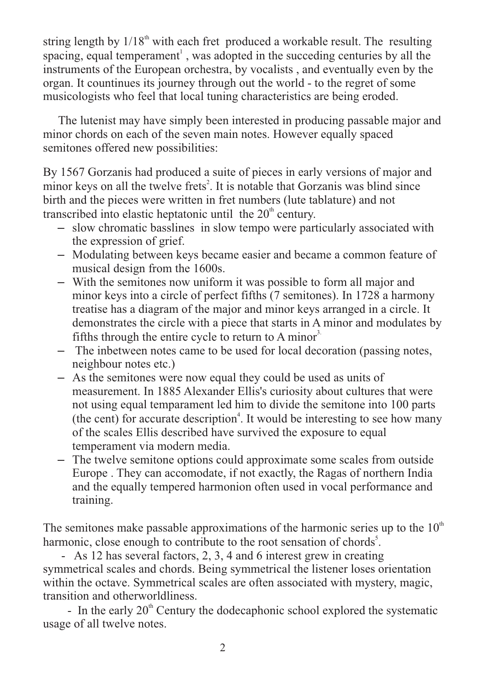string length by  $1/18<sup>th</sup>$  with each fret produced a workable result. The resulting spacing, equal temperament<sup>1</sup>, was adopted in the succeding centuries by all the instruments of the European orchestra, by vocalists , and eventually even by the organ. It countinues its journey through out the world - to the regret of some musicologists who feel that local tuning characteristics are being eroded.

 The lutenist may have simply been interested in producing passable major and minor chords on each of the seven main notes. However equally spaced semitones offered new possibilities:

By 1567 Gorzanis had produced a suite of pieces in early versions of major and minor keys on all the twelve frets<sup>2</sup>. It is notable that Gorzanis was blind since birth and the pieces were written in fret numbers (lute tablature) and not transcribed into elastic heptatonic until the  $20<sup>th</sup>$  century.

- slow chromatic basslines in slow tempo were particularly associated with the expression of grief.
- Modulating between keys became easier and became a common feature of musical design from the 1600s.
- With the semitones now uniform it was possible to form all major and minor keys into a circle of perfect fifths (7 semitones). In 1728 a harmony treatise has a diagram of the major and minor keys arranged in a circle. It demonstrates the circle with a piece that starts in A minor and modulates by fifths through the entire cycle to return to A minor<sup>3.</sup>
- The inbetween notes came to be used for local decoration (passing notes, neighbour notes etc.)
- As the semitones were now equal they could be used as units of measurement. In 1885 Alexander Ellis's curiosity about cultures that were not using equal temparament led him to divide the semitone into 100 parts (the cent) for accurate description<sup>4</sup>. It would be interesting to see how many of the scales Ellis described have survived the exposure to equal temperament via modern media.
- The twelve semitone options could approximate some scales from outside Europe . They can accomodate, if not exactly, the Ragas of northern India and the equally tempered harmonion often used in vocal performance and training.

The semitones make passable approximations of the harmonic series up to the  $10<sup>th</sup>$ harmonic, close enough to contribute to the root sensation of chords<sup>5</sup>.

 - As 12 has several factors, 2, 3, 4 and 6 interest grew in creating symmetrical scales and chords. Being symmetrical the listener loses orientation within the octave. Symmetrical scales are often associated with mystery, magic, transition and otherworldliness.

- In the early  $20<sup>th</sup>$  Century the dodecaphonic school explored the systematic usage of all twelve notes.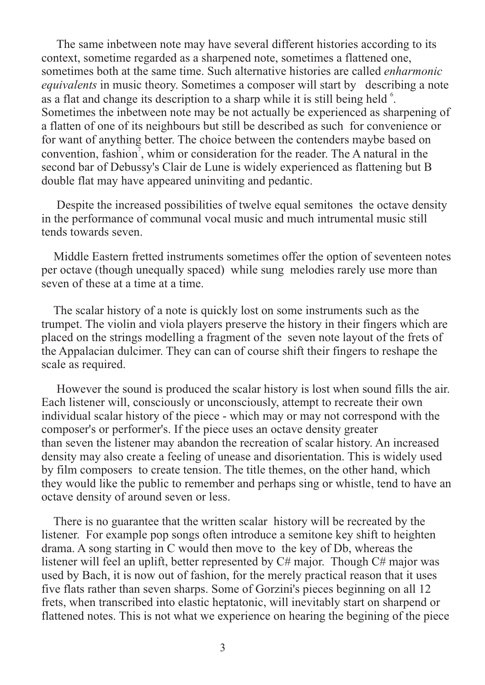The same inbetween note may have several different histories according to its context, sometime regarded as a sharpened note, sometimes a flattened one, sometimes both at the same time. Such alternative histories are called *enharmonic equivalents* in music theory. Sometimes a composer will start by describing a note as a flat and change its description to a sharp while it is still being held  $6$ . Sometimes the inbetween note may be not actually be experienced as sharpening of a flatten of one of its neighbours but still be described as such for convenience or for want of anything better. The choice between the contenders maybe based on convention, fashion<sup>7</sup>, whim or consideration for the reader. The A natural in the second bar of Debussy's Clair de Lune is widely experienced as flattening but B double flat may have appeared uninviting and pedantic.

 Despite the increased possibilities of twelve equal semitones the octave density in the performance of communal vocal music and much intrumental music still tends towards seven.

 Middle Eastern fretted instruments sometimes offer the option of seventeen notes per octave (though unequally spaced) while sung melodies rarely use more than seven of these at a time at a time.

 The scalar history of a note is quickly lost on some instruments such as the trumpet. The violin and viola players preserve the history in their fingers which are placed on the strings modelling a fragment of the seven note layout of the frets of the Appalacian dulcimer. They can can of course shift their fingers to reshape the scale as required.

 However the sound is produced the scalar history is lost when sound fills the air. Each listener will, consciously or unconsciously, attempt to recreate their own individual scalar history of the piece - which may or may not correspond with the composer's or performer's. If the piece uses an octave density greater than seven the listener may abandon the recreation of scalar history. An increased density may also create a feeling of unease and disorientation. This is widely used by film composers to create tension. The title themes, on the other hand, which they would like the public to remember and perhaps sing or whistle, tend to have an octave density of around seven or less.

 There is no guarantee that the written scalar history will be recreated by the listener. For example pop songs often introduce a semitone key shift to heighten drama. A song starting in C would then move to the key of Db, whereas the listener will feel an uplift, better represented by C# major. Though C# major was used by Bach, it is now out of fashion, for the merely practical reason that it uses five flats rather than seven sharps. Some of Gorzini's pieces beginning on all 12 frets, when transcribed into elastic heptatonic, will inevitably start on sharpend or flattened notes. This is not what we experience on hearing the begining of the piece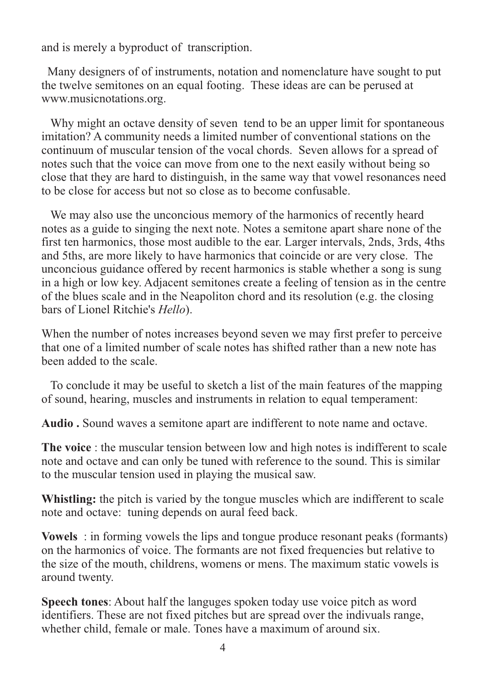and is merely a byproduct of transcription.

 Many designers of of instruments, notation and nomenclature have sought to put the twelve semitones on an equal footing. These ideas are can be perused at www.musicnotations.org.

 Why might an octave density of seven tend to be an upper limit for spontaneous imitation? A community needs a limited number of conventional stations on the continuum of muscular tension of the vocal chords. Seven allows for a spread of notes such that the voice can move from one to the next easily without being so close that they are hard to distinguish, in the same way that vowel resonances need to be close for access but not so close as to become confusable.

 We may also use the unconcious memory of the harmonics of recently heard notes as a guide to singing the next note. Notes a semitone apart share none of the first ten harmonics, those most audible to the ear. Larger intervals, 2nds, 3rds, 4ths and 5ths, are more likely to have harmonics that coincide or are very close. The unconcious guidance offered by recent harmonics is stable whether a song is sung in a high or low key. Adjacent semitones create a feeling of tension as in the centre of the blues scale and in the Neapoliton chord and its resolution (e.g. the closing bars of Lionel Ritchie's *Hello*).

When the number of notes increases beyond seven we may first prefer to perceive that one of a limited number of scale notes has shifted rather than a new note has been added to the scale.

 To conclude it may be useful to sketch a list of the main features of the mapping of sound, hearing, muscles and instruments in relation to equal temperament:

**Audio .** Sound waves a semitone apart are indifferent to note name and octave.

**The voice** : the muscular tension between low and high notes is indifferent to scale note and octave and can only be tuned with reference to the sound. This is similar to the muscular tension used in playing the musical saw.

**Whistling:** the pitch is varied by the tongue muscles which are indifferent to scale note and octave: tuning depends on aural feed back.

**Vowels** : in forming vowels the lips and tongue produce resonant peaks (formants) on the harmonics of voice. The formants are not fixed frequencies but relative to the size of the mouth, childrens, womens or mens. The maximum static vowels is around twenty.

**Speech tones**: About half the languges spoken today use voice pitch as word identifiers. These are not fixed pitches but are spread over the indivuals range, whether child, female or male. Tones have a maximum of around six.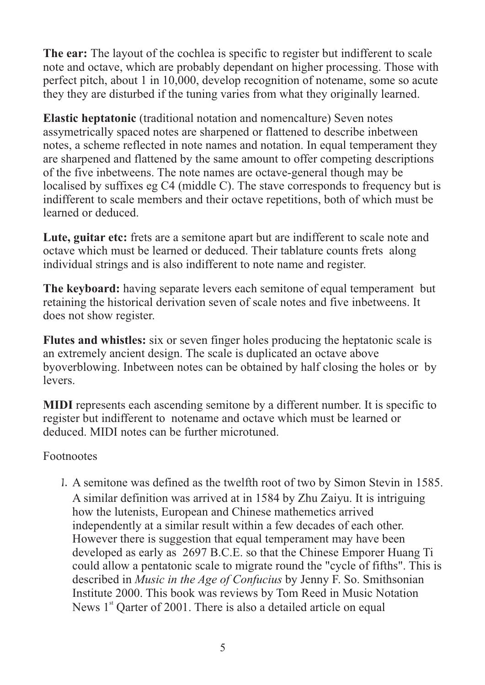**The ear:** The layout of the cochlea is specific to register but indifferent to scale note and octave, which are probably dependant on higher processing. Those with perfect pitch, about 1 in 10,000, develop recognition of notename, some so acute they they are disturbed if the tuning varies from what they originally learned.

**Elastic heptatonic** (traditional notation and nomencalture) Seven notes assymetrically spaced notes are sharpened or flattened to describe inbetween notes, a scheme reflected in note names and notation. In equal temperament they are sharpened and flattened by the same amount to offer competing descriptions of the five inbetweens. The note names are octave-general though may be localised by suffixes eg C4 (middle C). The stave corresponds to frequency but is indifferent to scale members and their octave repetitions, both of which must be learned or deduced.

Lute, guitar etc: frets are a semitone apart but are indifferent to scale note and octave which must be learned or deduced. Their tablature counts frets along individual strings and is also indifferent to note name and register.

**The keyboard:** having separate levers each semitone of equal temperament but retaining the historical derivation seven of scale notes and five inbetweens. It does not show register.

**Flutes and whistles:** six or seven finger holes producing the heptatonic scale is an extremely ancient design. The scale is duplicated an octave above byoverblowing. Inbetween notes can be obtained by half closing the holes or by **levers** 

**MIDI** represents each ascending semitone by a different number. It is specific to register but indifferent to notename and octave which must be learned or deduced. MIDI notes can be further microtuned.

## Footnootes

 1. A semitone was defined as the twelfth root of two by Simon Stevin in 1585. A similar definition was arrived at in 1584 by Zhu Zaiyu. It is intriguing how the lutenists, European and Chinese mathemetics arrived independently at a similar result within a few decades of each other. However there is suggestion that equal temperament may have been developed as early as 2697 B.C.E. so that the Chinese Emporer Huang Ti could allow a pentatonic scale to migrate round the "cycle of fifths". This is described in *Music in the Age of Confucius* by Jenny F. So. Smithsonian Institute 2000. This book was reviews by Tom Reed in Music Notation News  $1<sup>st</sup>$  Oarter of 2001. There is also a detailed article on equal